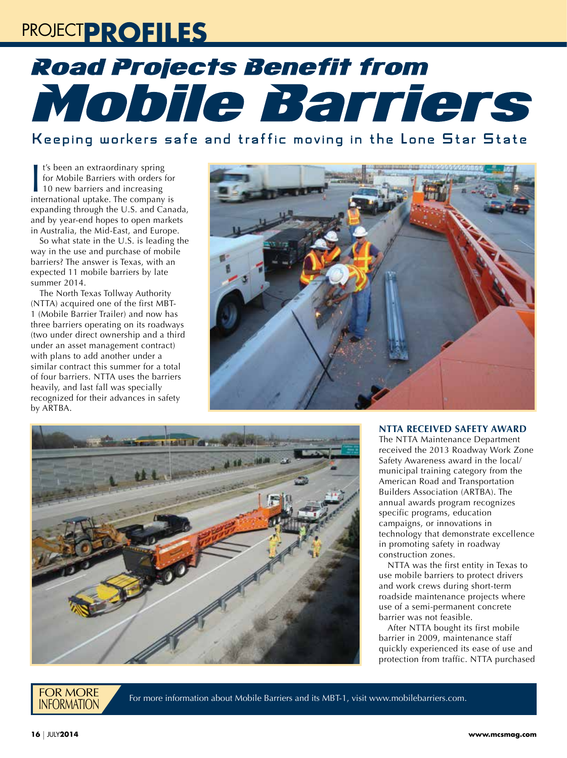## PROJECT**PROFILES**

# **Road Projects Benefit from** Mobile Barriers

Keeping workers safe and traffic moving in the Lone Star State

It's been an extraordinary spring<br>for Mobile Barriers with orders for<br>10 new barriers and increasing<br>international uptake. The company is t's been an extraordinary spring for Mobile Barriers with orders for 10 new barriers and increasing expanding through the U.S. and Canada, and by year-end hopes to open markets in Australia, the Mid-East, and Europe.

So what state in the U.S. is leading the way in the use and purchase of mobile barriers? The answer is Texas, with an expected 11 mobile barriers by late summer 2014.

The North Texas Tollway Authority (NTTA) acquired one of the first MBT-1 (Mobile Barrier Trailer) and now has three barriers operating on its roadways (two under direct ownership and a third under an asset management contract) with plans to add another under a similar contract this summer for a total of four barriers. NTTA uses the barriers heavily, and last fall was specially recognized for their advances in safety by ARTBA.





### **NTTA RECEIVED SAFETY AWARD**

The NTTA Maintenance Department received the 2013 Roadway Work Zone Safety Awareness award in the local/ municipal training category from the American Road and Transportation Builders Association (ARTBA). The annual awards program recognizes specific programs, education campaigns, or innovations in technology that demonstrate excellence in promoting safety in roadway construction zones.

NTTA was the first entity in Texas to use mobile barriers to protect drivers and work crews during short-term roadside maintenance projects where use of a semi-permanent concrete barrier was not feasible.

After NTTA bought its first mobile barrier in 2009, maintenance staff quickly experienced its ease of use and protection from traffic. NTTA purchased

### **FOR MORE**<br>INFORMATION

For more information about Mobile Barriers and its MBT-1, visit www.mobilebarriers.com.